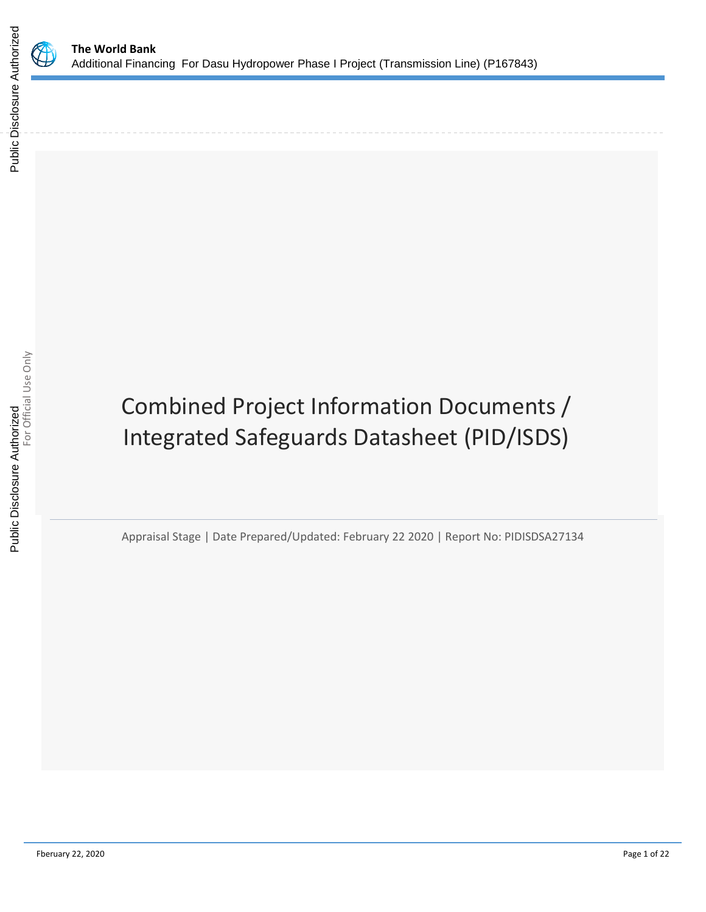

Public Disclosure Authorized

# Combined Project Information Documents / Integrated Safeguards Datasheet (PID/ISDS)

Appraisal Stage | Date Prepared/Updated: February 22 2020 | Report No: PIDISDSA27134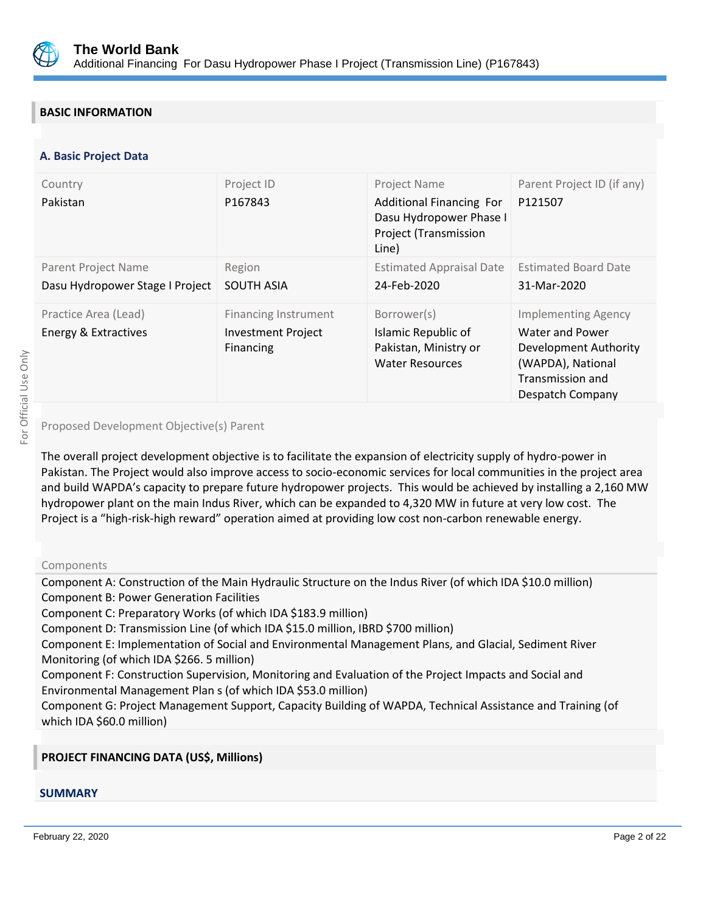

# **BASIC INFORMATION**

#### **OPS\_TABLE\_BASIC\_DATA A. Basic Project Data**

| Country<br>Pakistan                                    | Project ID<br>P167843                                                 | <b>Project Name</b><br><b>Additional Financing For</b><br>Dasu Hydropower Phase I<br><b>Project (Transmission</b><br>Line) | Parent Project ID (if any)<br>P121507                                                                                               |
|--------------------------------------------------------|-----------------------------------------------------------------------|----------------------------------------------------------------------------------------------------------------------------|-------------------------------------------------------------------------------------------------------------------------------------|
| Parent Project Name<br>Dasu Hydropower Stage I Project | Region<br><b>SOUTH ASIA</b>                                           | <b>Estimated Appraisal Date</b><br>24-Feb-2020                                                                             | <b>Estimated Board Date</b><br>31-Mar-2020                                                                                          |
| Practice Area (Lead)<br>Energy & Extractives           | <b>Financing Instrument</b><br><b>Investment Project</b><br>Financing | Borrower(s)<br>Islamic Republic of<br>Pakistan, Ministry or<br><b>Water Resources</b>                                      | <b>Implementing Agency</b><br>Water and Power<br>Development Authority<br>(WAPDA), National<br>Transmission and<br>Despatch Company |

Proposed Development Objective(s) Parent

The overall project development objective is to facilitate the expansion of electricity supply of hydro-power in Pakistan. The Project would also improve access to socio-economic services for local communities in the project area and build WAPDA's capacity to prepare future hydropower projects. This would be achieved by installing a 2,160 MW hydropower plant on the main Indus River, which can be expanded to 4,320 MW in future at very low cost. The Project is a "high-risk-high reward" operation aimed at providing low cost non-carbon renewable energy.

#### Components

Component A: Construction of the Main Hydraulic Structure on the Indus River (of which IDA \$10.0 million) Component B: Power Generation Facilities

Component C: Preparatory Works (of which IDA \$183.9 million)

Component D: Transmission Line (of which IDA \$15.0 million, IBRD \$700 million)

Component E: Implementation of Social and Environmental Management Plans, and Glacial, Sediment River Monitoring (of which IDA \$266. 5 million)

Component F: Construction Supervision, Monitoring and Evaluation of the Project Impacts and Social and Environmental Management Plan s (of which IDA \$53.0 million)

Component G: Project Management Support, Capacity Building of WAPDA, Technical Assistance and Training (of which IDA \$60.0 million)

# **PROJECT FINANCING DATA (US\$, Millions)**

#### **SUMMARY**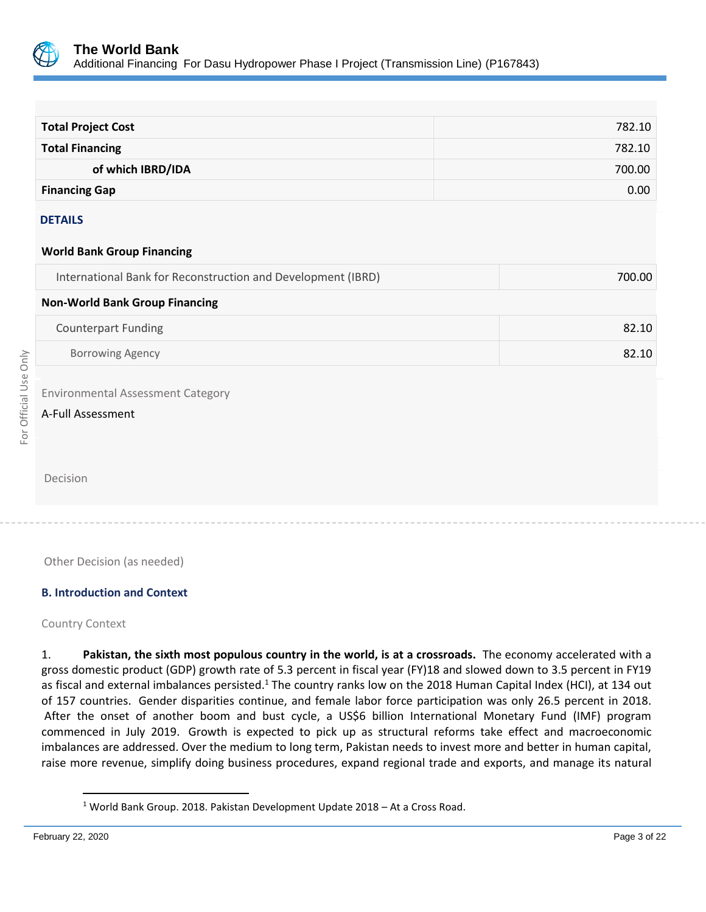

| <b>Total Project Cost</b> | 782.10            |
|---------------------------|-------------------|
| <b>Total Financing</b>    | 782.10            |
| of which IBRD/IDA         | 700.00            |
| <b>Financing Gap</b>      | 0.00 <sub>1</sub> |

#### **DETAILS**

#### **World Bank Group Financing**

| International Bank for Reconstruction and Development (IBRD) | 700.00 |
|--------------------------------------------------------------|--------|
| <b>Non-World Bank Group Financing</b>                        |        |
| <b>Counterpart Funding</b>                                   | 82.10  |
| <b>Borrowing Agency</b>                                      | 82.10  |

#### Environmental Assessment Category

#### A-Full Assessment

Decision

Other Decision (as needed)

#### **B. Introduction and Context**

#### Country Context

1. **Pakistan, the sixth most populous country in the world, is at a crossroads.** The economy accelerated with a gross domestic product (GDP) growth rate of 5.3 percent in fiscal year (FY)18 and slowed down to 3.5 percent in FY19 as fiscal and external imbalances persisted.<sup>1</sup> The country ranks low on the 2018 Human Capital Index (HCI), at 134 out of 157 countries. Gender disparities continue, and female labor force participation was only 26.5 percent in 2018. After the onset of another boom and bust cycle, a US\$6 billion International Monetary Fund (IMF) program commenced in July 2019. Growth is expected to pick up as structural reforms take effect and macroeconomic imbalances are addressed. Over the medium to long term, Pakistan needs to invest more and better in human capital, raise more revenue, simplify doing business procedures, expand regional trade and exports, and manage its natural

 $\overline{a}$ 

<sup>1</sup> World Bank Group. 2018. Pakistan Development Update 2018 – At a Cross Road.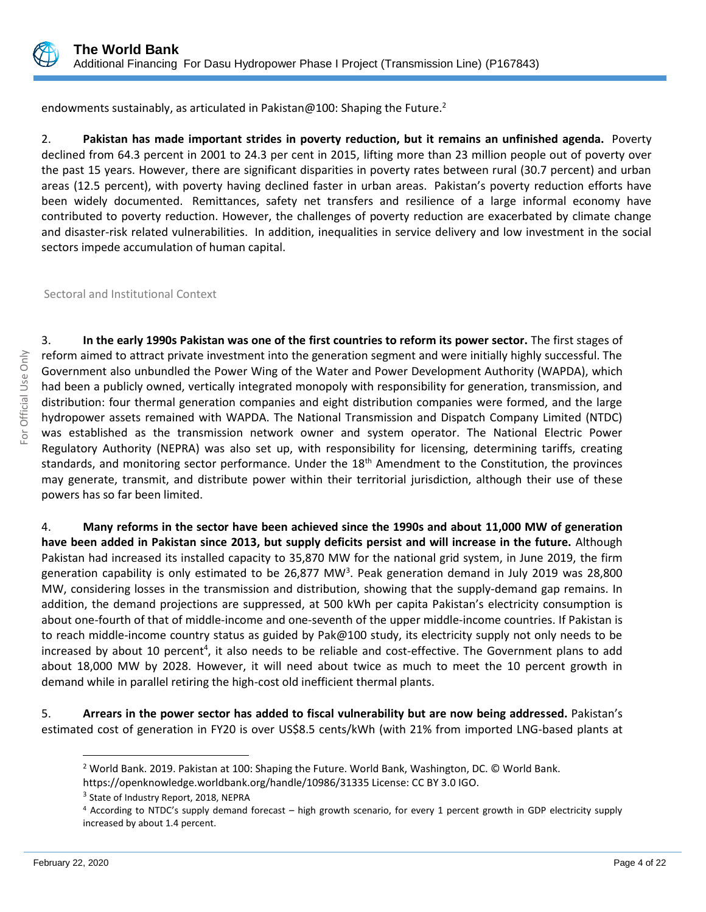

endowments sustainably, as articulated in Pakistan@100: Shaping the Future.<sup>2</sup>

2. **Pakistan has made important strides in poverty reduction, but it remains an unfinished agenda.** Poverty declined from 64.3 percent in 2001 to 24.3 per cent in 2015, lifting more than 23 million people out of poverty over the past 15 years. However, there are significant disparities in poverty rates between rural (30.7 percent) and urban areas (12.5 percent), with poverty having declined faster in urban areas. Pakistan's poverty reduction efforts have been widely documented. Remittances, safety net transfers and resilience of a large informal economy have contributed to poverty reduction. However, the challenges of poverty reduction are exacerbated by climate change and disaster-risk related vulnerabilities. In addition, inequalities in service delivery and low investment in the social sectors impede accumulation of human capital.

Sectoral and Institutional Context

3. **In the early 1990s Pakistan was one of the first countries to reform its power sector.** The first stages of reform aimed to attract private investment into the generation segment and were initially highly successful. The Government also unbundled the Power Wing of the Water and Power Development Authority (WAPDA), which had been a publicly owned, vertically integrated monopoly with responsibility for generation, transmission, and distribution: four thermal generation companies and eight distribution companies were formed, and the large hydropower assets remained with WAPDA. The National Transmission and Dispatch Company Limited (NTDC) was established as the transmission network owner and system operator. The National Electric Power Regulatory Authority (NEPRA) was also set up, with responsibility for licensing, determining tariffs, creating standards, and monitoring sector performance. Under the 18<sup>th</sup> Amendment to the Constitution, the provinces may generate, transmit, and distribute power within their territorial jurisdiction, although their use of these powers has so far been limited.

4. **Many reforms in the sector have been achieved since the 1990s and about 11,000 MW of generation have been added in Pakistan since 2013, but supply deficits persist and will increase in the future.** Although Pakistan had increased its installed capacity to 35,870 MW for the national grid system, in June 2019, the firm generation capability is only estimated to be 26,877 MW<sup>3</sup>. Peak generation demand in July 2019 was 28,800 MW, considering losses in the transmission and distribution, showing that the supply-demand gap remains. In addition, the demand projections are suppressed, at 500 kWh per capita Pakistan's electricity consumption is about one-fourth of that of middle-income and one-seventh of the upper middle-income countries. If Pakistan is to reach middle-income country status as guided by Pak@100 study, its electricity supply not only needs to be increased by about 10 percent<sup>4</sup>, it also needs to be reliable and cost-effective. The Government plans to add about 18,000 MW by 2028. However, it will need about twice as much to meet the 10 percent growth in demand while in parallel retiring the high-cost old inefficient thermal plants.

5. **Arrears in the power sector has added to fiscal vulnerability but are now being addressed.** Pakistan's estimated cost of generation in FY20 is over US\$8.5 cents/kWh (with 21% from imported LNG-based plants at

 $\overline{a}$ 

<sup>2</sup> World Bank. 2019. Pakistan at 100: Shaping the Future. World Bank, Washington, DC. © World Bank.

https://openknowledge.worldbank.org/handle/10986/31335 License: CC BY 3.0 IGO.

<sup>&</sup>lt;sup>3</sup> State of Industry Report, 2018, NEPRA

<sup>4</sup> According to NTDC's supply demand forecast – high growth scenario, for every 1 percent growth in GDP electricity supply increased by about 1.4 percent.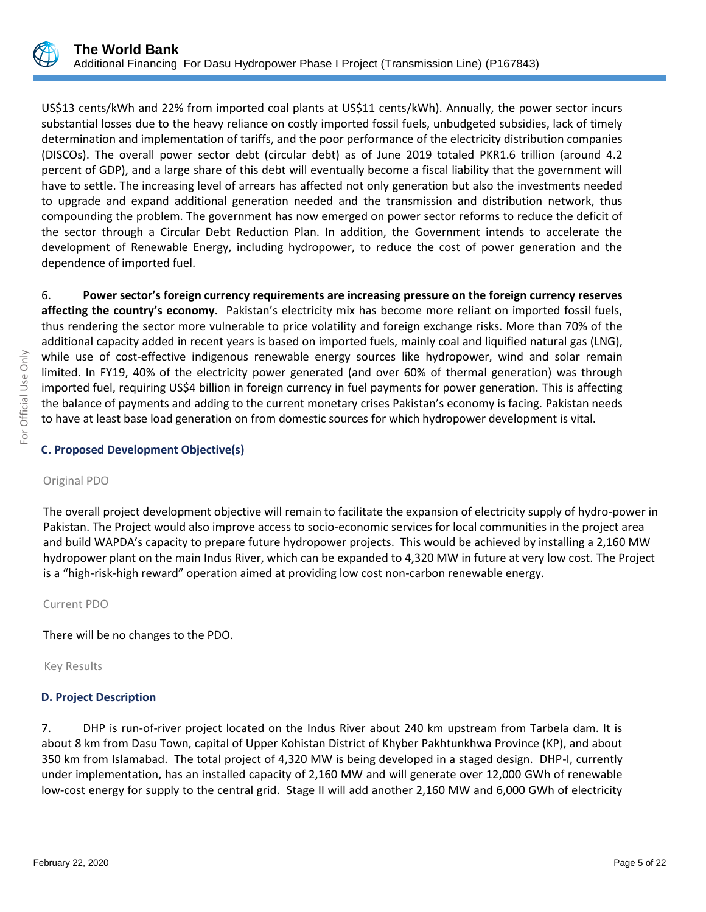

US\$13 cents/kWh and 22% from imported coal plants at US\$11 cents/kWh). Annually, the power sector incurs substantial losses due to the heavy reliance on costly imported fossil fuels, unbudgeted subsidies, lack of timely determination and implementation of tariffs, and the poor performance of the electricity distribution companies (DISCOs). The overall power sector debt (circular debt) as of June 2019 totaled PKR1.6 trillion (around 4.2 percent of GDP), and a large share of this debt will eventually become a fiscal liability that the government will have to settle. The increasing level of arrears has affected not only generation but also the investments needed to upgrade and expand additional generation needed and the transmission and distribution network, thus compounding the problem. The government has now emerged on power sector reforms to reduce the deficit of the sector through a Circular Debt Reduction Plan. In addition, the Government intends to accelerate the development of Renewable Energy, including hydropower, to reduce the cost of power generation and the dependence of imported fuel.

6. **Power sector's foreign currency requirements are increasing pressure on the foreign currency reserves affecting the country's economy.** Pakistan's electricity mix has become more reliant on imported fossil fuels, thus rendering the sector more vulnerable to price volatility and foreign exchange risks. More than 70% of the additional capacity added in recent years is based on imported fuels, mainly coal and liquified natural gas (LNG), while use of cost-effective indigenous renewable energy sources like hydropower, wind and solar remain limited. In FY19, 40% of the electricity power generated (and over 60% of thermal generation) was through imported fuel, requiring US\$4 billion in foreign currency in fuel payments for power generation. This is affecting the balance of payments and adding to the current monetary crises Pakistan's economy is facing. Pakistan needs to have at least base load generation on from domestic sources for which hydropower development is vital.

# **C. Proposed Development Objective(s)**

#### Original PDO

The overall project development objective will remain to facilitate the expansion of electricity supply of hydro-power in Pakistan. The Project would also improve access to socio-economic services for local communities in the project area and build WAPDA's capacity to prepare future hydropower projects. This would be achieved by installing a 2,160 MW hydropower plant on the main Indus River, which can be expanded to 4,320 MW in future at very low cost. The Project is a "high-risk-high reward" operation aimed at providing low cost non-carbon renewable energy.

#### Current PDO

There will be no changes to the PDO.

Key Results

#### **D. Project Description**

7. DHP is run-of-river project located on the Indus River about 240 km upstream from Tarbela dam. It is about 8 km from Dasu Town, capital of Upper Kohistan District of Khyber Pakhtunkhwa Province (KP), and about 350 km from Islamabad. The total project of 4,320 MW is being developed in a staged design. DHP-I, currently under implementation, has an installed capacity of 2,160 MW and will generate over 12,000 GWh of renewable low-cost energy for supply to the central grid. Stage II will add another 2,160 MW and 6,000 GWh of electricity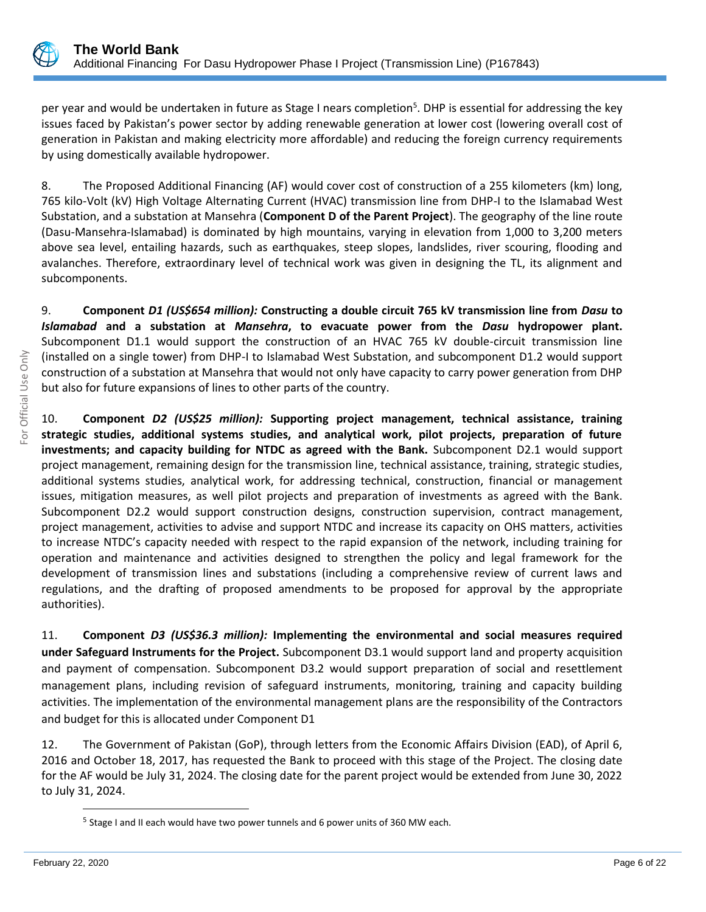

per year and would be undertaken in future as Stage I nears completion<sup>5</sup>. DHP is essential for addressing the key issues faced by Pakistan's power sector by adding renewable generation at lower cost (lowering overall cost of generation in Pakistan and making electricity more affordable) and reducing the foreign currency requirements by using domestically available hydropower.

8. The Proposed Additional Financing (AF) would cover cost of construction of a 255 kilometers (km) long, 765 kilo-Volt (kV) High Voltage Alternating Current (HVAC) transmission line from DHP-I to the Islamabad West Substation, and a substation at Mansehra (**Component D of the Parent Project**). The geography of the line route (Dasu-Mansehra-Islamabad) is dominated by high mountains, varying in elevation from 1,000 to 3,200 meters above sea level, entailing hazards, such as earthquakes, steep slopes, landslides, river scouring, flooding and avalanches. Therefore, extraordinary level of technical work was given in designing the TL, its alignment and subcomponents.

9. **Component** *D1 (US\$654 million):* **Constructing a double circuit 765 kV transmission line from** *Dasu* **to**  *Islamabad* **and a substation at** *Mansehra***, to evacuate power from the** *Dasu* **hydropower plant.** Subcomponent D1.1 would support the construction of an HVAC 765 kV double-circuit transmission line (installed on a single tower) from DHP-I to Islamabad West Substation, and subcomponent D1.2 would support construction of a substation at Mansehra that would not only have capacity to carry power generation from DHP but also for future expansions of lines to other parts of the country.

10. **Component** *D2 (US\$25 million):* **Supporting project management, technical assistance, training strategic studies, additional systems studies, and analytical work, pilot projects, preparation of future investments; and capacity building for NTDC as agreed with the Bank.** Subcomponent D2.1 would support project management, remaining design for the transmission line, technical assistance, training, strategic studies, additional systems studies, analytical work, for addressing technical, construction, financial or management issues, mitigation measures, as well pilot projects and preparation of investments as agreed with the Bank. Subcomponent D2.2 would support construction designs, construction supervision, contract management, project management, activities to advise and support NTDC and increase its capacity on OHS matters, activities to increase NTDC's capacity needed with respect to the rapid expansion of the network, including training for operation and maintenance and activities designed to strengthen the policy and legal framework for the development of transmission lines and substations (including a comprehensive review of current laws and regulations, and the drafting of proposed amendments to be proposed for approval by the appropriate authorities).

11. **Component** *D3 (US\$36.3 million):* **Implementing the environmental and social measures required under Safeguard Instruments for the Project.** Subcomponent D3.1 would support land and property acquisition and payment of compensation. Subcomponent D3.2 would support preparation of social and resettlement management plans, including revision of safeguard instruments, monitoring, training and capacity building activities. The implementation of the environmental management plans are the responsibility of the Contractors and budget for this is allocated under Component D1

12. The Government of Pakistan (GoP), through letters from the Economic Affairs Division (EAD), of April 6, 2016 and October 18, 2017, has requested the Bank to proceed with this stage of the Project. The closing date for the AF would be July 31, 2024. The closing date for the parent project would be extended from June 30, 2022 to July 31, 2024.

 $\overline{\phantom{a}}$ 

<sup>&</sup>lt;sup>5</sup> Stage I and II each would have two power tunnels and 6 power units of 360 MW each.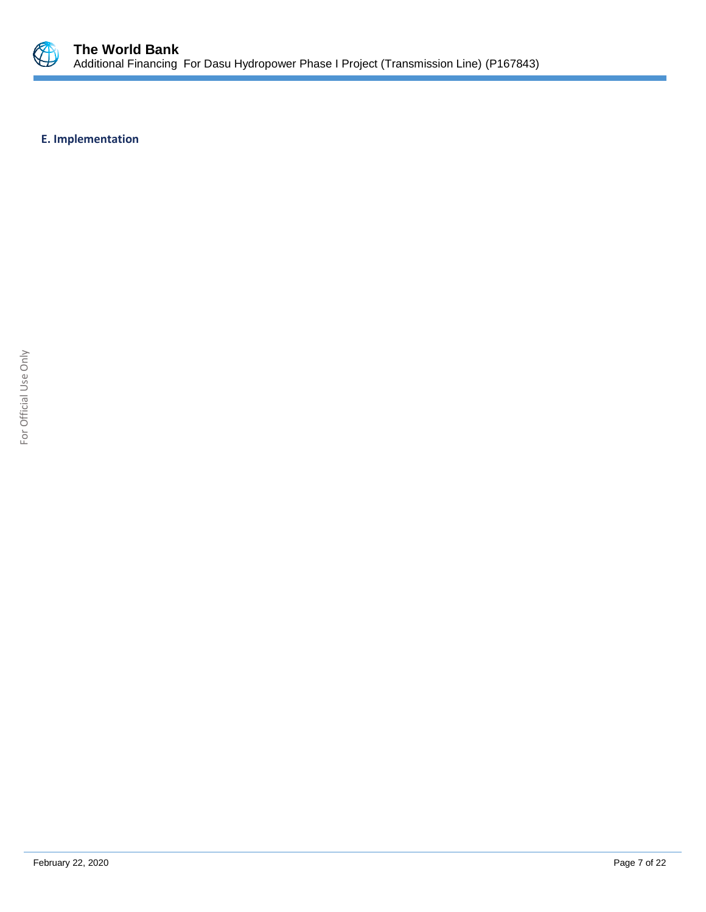

**E. Implementation**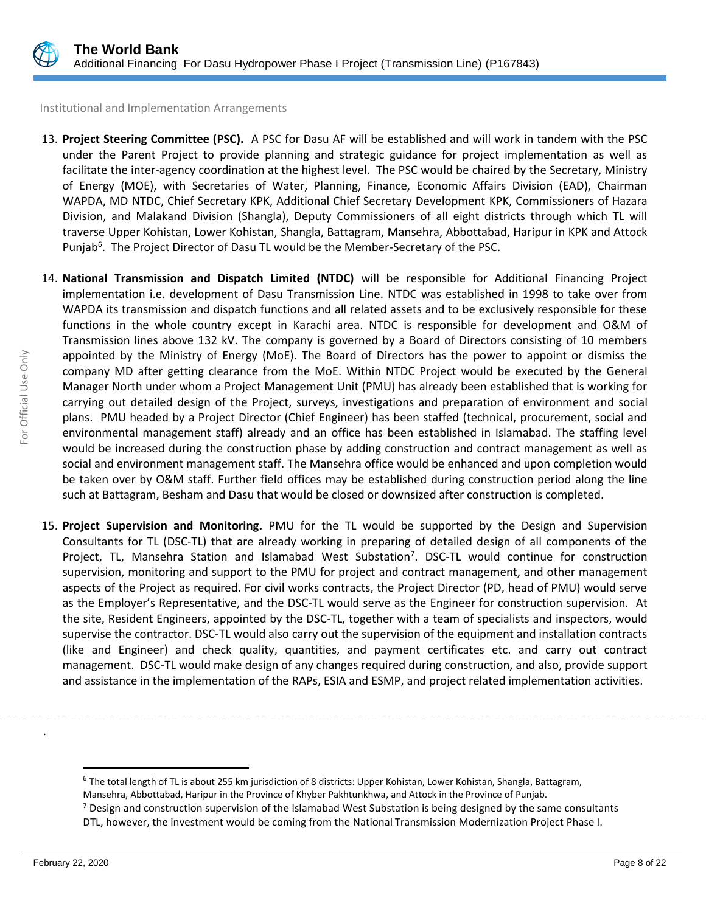

Institutional and Implementation Arrangements

- 13. **Project Steering Committee (PSC).** A PSC for Dasu AF will be established and will work in tandem with the PSC under the Parent Project to provide planning and strategic guidance for project implementation as well as facilitate the inter-agency coordination at the highest level. The PSC would be chaired by the Secretary, Ministry of Energy (MOE), with Secretaries of Water, Planning, Finance, Economic Affairs Division (EAD), Chairman WAPDA, MD NTDC, Chief Secretary KPK, Additional Chief Secretary Development KPK, Commissioners of Hazara Division, and Malakand Division (Shangla), Deputy Commissioners of all eight districts through which TL will traverse Upper Kohistan, Lower Kohistan, Shangla, Battagram, Mansehra, Abbottabad, Haripur in KPK and Attock Punjab<sup>6</sup>. The Project Director of Dasu TL would be the Member-Secretary of the PSC.
- 14. **National Transmission and Dispatch Limited (NTDC)** will be responsible for Additional Financing Project implementation i.e. development of Dasu Transmission Line. NTDC was established in 1998 to take over from WAPDA its transmission and dispatch functions and all related assets and to be exclusively responsible for these functions in the whole country except in Karachi area. NTDC is responsible for development and O&M of Transmission lines above 132 kV. The company is governed by a Board of Directors consisting of 10 members appointed by the Ministry of Energy (MoE). The Board of Directors has the power to appoint or dismiss the company MD after getting clearance from the MoE. Within NTDC Project would be executed by the General Manager North under whom a Project Management Unit (PMU) has already been established that is working for carrying out detailed design of the Project, surveys, investigations and preparation of environment and social plans. PMU headed by a Project Director (Chief Engineer) has been staffed (technical, procurement, social and environmental management staff) already and an office has been established in Islamabad. The staffing level would be increased during the construction phase by adding construction and contract management as well as social and environment management staff. The Mansehra office would be enhanced and upon completion would be taken over by O&M staff. Further field offices may be established during construction period along the line such at Battagram, Besham and Dasu that would be closed or downsized after construction is completed.
- 15. **Project Supervision and Monitoring.** PMU for the TL would be supported by the Design and Supervision Consultants for TL (DSC-TL) that are already working in preparing of detailed design of all components of the Project, TL, Mansehra Station and Islamabad West Substation<sup>7</sup>. DSC-TL would continue for construction supervision, monitoring and support to the PMU for project and contract management, and other management aspects of the Project as required. For civil works contracts, the Project Director (PD, head of PMU) would serve as the Employer's Representative, and the DSC-TL would serve as the Engineer for construction supervision. At the site, Resident Engineers, appointed by the DSC-TL, together with a team of specialists and inspectors, would supervise the contractor. DSC-TL would also carry out the supervision of the equipment and installation contracts (like and Engineer) and check quality, quantities, and payment certificates etc. and carry out contract management. DSC-TL would make design of any changes required during construction, and also, provide support and assistance in the implementation of the RAPs, ESIA and ESMP, and project related implementation activities.

l

.

<sup>&</sup>lt;sup>6</sup> The total length of TL is about 255 km jurisdiction of 8 districts: Upper Kohistan, Lower Kohistan, Shangla, Battagram, Mansehra, Abbottabad, Haripur in the Province of Khyber Pakhtunkhwa, and Attock in the Province of Punjab.

 $<sup>7</sup>$  Design and construction supervision of the Islamabad West Substation is being designed by the same consultants</sup> DTL, however, the investment would be coming from the National Transmission Modernization Project Phase I.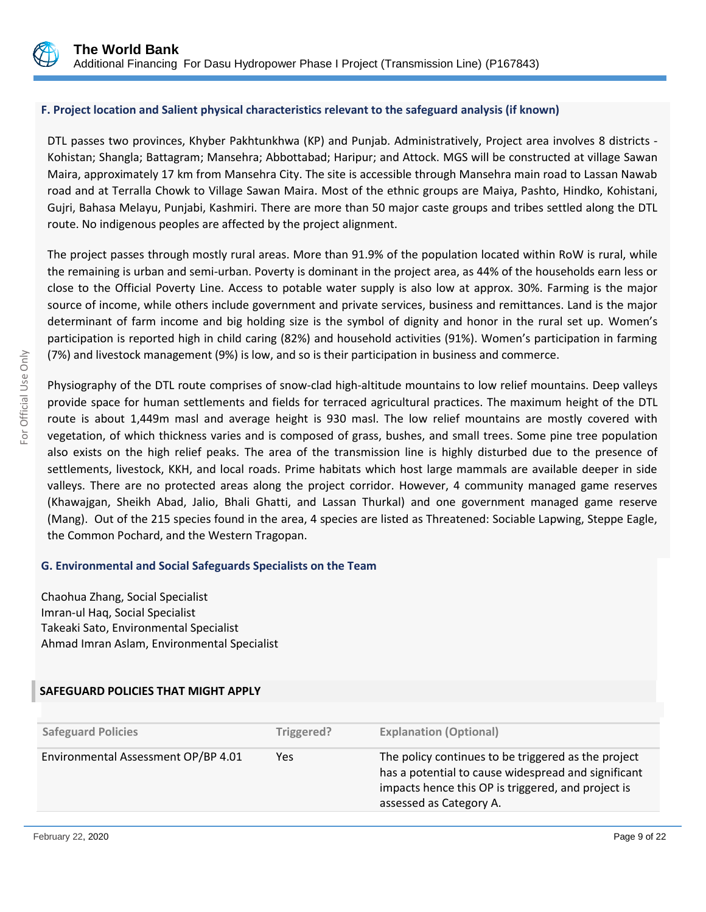

#### **F. Project location and Salient physical characteristics relevant to the safeguard analysis (if known)**

DTL passes two provinces, Khyber Pakhtunkhwa (KP) and Punjab. Administratively, Project area involves 8 districts - Kohistan; Shangla; Battagram; Mansehra; Abbottabad; Haripur; and Attock. MGS will be constructed at village Sawan Maira, approximately 17 km from Mansehra City. The site is accessible through Mansehra main road to Lassan Nawab road and at Terralla Chowk to Village Sawan Maira. Most of the ethnic groups are Maiya, Pashto, Hindko, Kohistani, Gujri, Bahasa Melayu, Punjabi, Kashmiri. There are more than 50 major caste groups and tribes settled along the DTL route. No indigenous peoples are affected by the project alignment.

The project passes through mostly rural areas. More than 91.9% of the population located within RoW is rural, while the remaining is urban and semi-urban. Poverty is dominant in the project area, as 44% of the households earn less or close to the Official Poverty Line. Access to potable water supply is also low at approx. 30%. Farming is the major source of income, while others include government and private services, business and remittances. Land is the major determinant of farm income and big holding size is the symbol of dignity and honor in the rural set up. Women's participation is reported high in child caring (82%) and household activities (91%). Women's participation in farming (7%) and livestock management (9%) is low, and so is their participation in business and commerce.

Physiography of the DTL route comprises of snow-clad high-altitude mountains to low relief mountains. Deep valleys provide space for human settlements and fields for terraced agricultural practices. The maximum height of the DTL route is about 1,449m masl and average height is 930 masl. The low relief mountains are mostly covered with vegetation, of which thickness varies and is composed of grass, bushes, and small trees. Some pine tree population also exists on the high relief peaks. The area of the transmission line is highly disturbed due to the presence of settlements, livestock, KKH, and local roads. Prime habitats which host large mammals are available deeper in side valleys. There are no protected areas along the project corridor. However, 4 community managed game reserves (Khawajgan, Sheikh Abad, Jalio, Bhali Ghatti, and Lassan Thurkal) and one government managed game reserve (Mang). Out of the 215 species found in the area, 4 species are listed as Threatened: Sociable Lapwing, Steppe Eagle, the Common Pochard, and the Western Tragopan.

#### **G. Environmental and Social Safeguards Specialists on the Team**

Chaohua Zhang, Social Specialist Imran-ul Haq, Social Specialist Takeaki Sato, Environmental Specialist Ahmad Imran Aslam, Environmental Specialist

#### **SAFEGUARD POLICIES THAT MIGHT APPLY**

| <b>Safeguard Policies</b>           | Triggered? | <b>Explanation (Optional)</b>                                                                                                                                                               |
|-------------------------------------|------------|---------------------------------------------------------------------------------------------------------------------------------------------------------------------------------------------|
| Environmental Assessment OP/BP 4.01 | Yes        | The policy continues to be triggered as the project<br>has a potential to cause widespread and significant<br>impacts hence this OP is triggered, and project is<br>assessed as Category A. |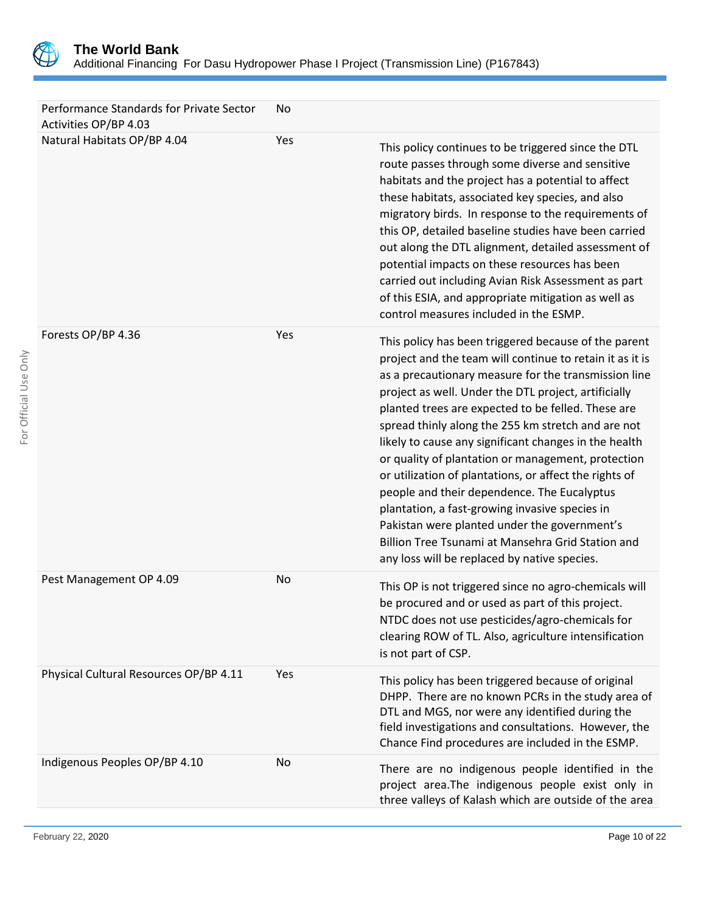

| Performance Standards for Private Sector<br>Activities OP/BP 4.03 | No  |                                                                                                                                                                                                                                                                                                                                                                                                                                                                                                                                                                                                                                                                                                                                                                             |
|-------------------------------------------------------------------|-----|-----------------------------------------------------------------------------------------------------------------------------------------------------------------------------------------------------------------------------------------------------------------------------------------------------------------------------------------------------------------------------------------------------------------------------------------------------------------------------------------------------------------------------------------------------------------------------------------------------------------------------------------------------------------------------------------------------------------------------------------------------------------------------|
| Natural Habitats OP/BP 4.04                                       | Yes | This policy continues to be triggered since the DTL<br>route passes through some diverse and sensitive<br>habitats and the project has a potential to affect<br>these habitats, associated key species, and also<br>migratory birds. In response to the requirements of<br>this OP, detailed baseline studies have been carried<br>out along the DTL alignment, detailed assessment of<br>potential impacts on these resources has been<br>carried out including Avian Risk Assessment as part<br>of this ESIA, and appropriate mitigation as well as<br>control measures included in the ESMP.                                                                                                                                                                             |
| Forests OP/BP 4.36                                                | Yes | This policy has been triggered because of the parent<br>project and the team will continue to retain it as it is<br>as a precautionary measure for the transmission line<br>project as well. Under the DTL project, artificially<br>planted trees are expected to be felled. These are<br>spread thinly along the 255 km stretch and are not<br>likely to cause any significant changes in the health<br>or quality of plantation or management, protection<br>or utilization of plantations, or affect the rights of<br>people and their dependence. The Eucalyptus<br>plantation, a fast-growing invasive species in<br>Pakistan were planted under the government's<br>Billion Tree Tsunami at Mansehra Grid Station and<br>any loss will be replaced by native species. |
| Pest Management OP 4.09                                           | No  | This OP is not triggered since no agro-chemicals will<br>be procured and or used as part of this project.<br>NTDC does not use pesticides/agro-chemicals for<br>clearing ROW of TL. Also, agriculture intensification<br>is not part of CSP.                                                                                                                                                                                                                                                                                                                                                                                                                                                                                                                                |
| Physical Cultural Resources OP/BP 4.11                            | Yes | This policy has been triggered because of original<br>DHPP. There are no known PCRs in the study area of<br>DTL and MGS, nor were any identified during the<br>field investigations and consultations. However, the<br>Chance Find procedures are included in the ESMP.                                                                                                                                                                                                                                                                                                                                                                                                                                                                                                     |
| Indigenous Peoples OP/BP 4.10                                     | No  | There are no indigenous people identified in the<br>project area. The indigenous people exist only in<br>three valleys of Kalash which are outside of the area                                                                                                                                                                                                                                                                                                                                                                                                                                                                                                                                                                                                              |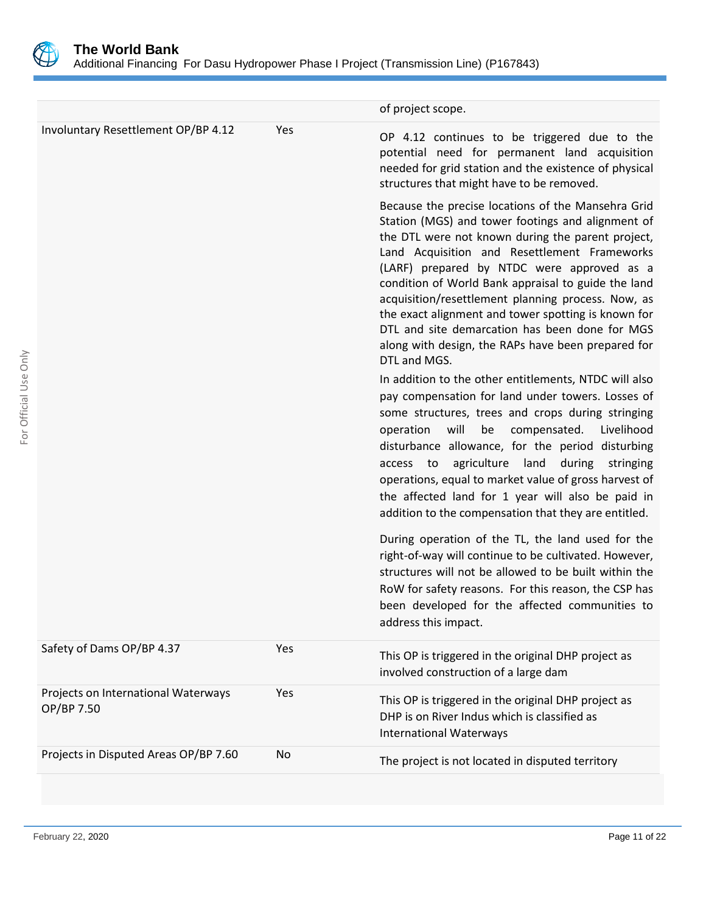

For Official Use Only

For Official Use Only

|                                                   |     | of project scope.                                                                                                                                                                                                                                                                                                                                                                                                                                                                                                                                      |
|---------------------------------------------------|-----|--------------------------------------------------------------------------------------------------------------------------------------------------------------------------------------------------------------------------------------------------------------------------------------------------------------------------------------------------------------------------------------------------------------------------------------------------------------------------------------------------------------------------------------------------------|
| Involuntary Resettlement OP/BP 4.12               | Yes | OP 4.12 continues to be triggered due to the<br>potential need for permanent land acquisition<br>needed for grid station and the existence of physical<br>structures that might have to be removed.                                                                                                                                                                                                                                                                                                                                                    |
|                                                   |     | Because the precise locations of the Mansehra Grid<br>Station (MGS) and tower footings and alignment of<br>the DTL were not known during the parent project,<br>Land Acquisition and Resettlement Frameworks<br>(LARF) prepared by NTDC were approved as a<br>condition of World Bank appraisal to guide the land<br>acquisition/resettlement planning process. Now, as<br>the exact alignment and tower spotting is known for<br>DTL and site demarcation has been done for MGS<br>along with design, the RAPs have been prepared for<br>DTL and MGS. |
|                                                   |     | In addition to the other entitlements, NTDC will also<br>pay compensation for land under towers. Losses of<br>some structures, trees and crops during stringing<br>will<br>Livelihood<br>operation<br>be<br>compensated.<br>disturbance allowance, for the period disturbing<br>agriculture land<br>during<br>access to<br>stringing<br>operations, equal to market value of gross harvest of<br>the affected land for 1 year will also be paid in<br>addition to the compensation that they are entitled.                                             |
|                                                   |     | During operation of the TL, the land used for the<br>right-of-way will continue to be cultivated. However,<br>structures will not be allowed to be built within the<br>RoW for safety reasons. For this reason, the CSP has<br>been developed for the affected communities to<br>address this impact.                                                                                                                                                                                                                                                  |
| Safety of Dams OP/BP 4.37                         | Yes | This OP is triggered in the original DHP project as<br>involved construction of a large dam                                                                                                                                                                                                                                                                                                                                                                                                                                                            |
| Projects on International Waterways<br>OP/BP 7.50 | Yes | This OP is triggered in the original DHP project as<br>DHP is on River Indus which is classified as<br><b>International Waterways</b>                                                                                                                                                                                                                                                                                                                                                                                                                  |
| Projects in Disputed Areas OP/BP 7.60             | No  | The project is not located in disputed territory                                                                                                                                                                                                                                                                                                                                                                                                                                                                                                       |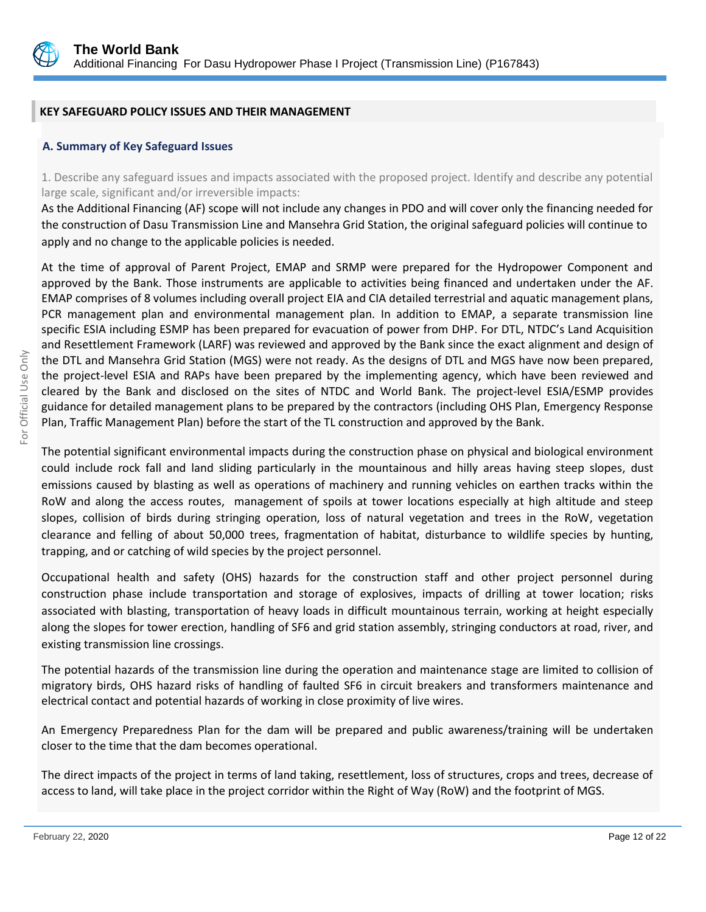

### **KEY SAFEGUARD POLICY ISSUES AND THEIR MANAGEMENT**

#### **A. Summary of Key Safeguard Issues**

1. Describe any safeguard issues and impacts associated with the proposed project. Identify and describe any potential large scale, significant and/or irreversible impacts:

As the Additional Financing (AF) scope will not include any changes in PDO and will cover only the financing needed for the construction of Dasu Transmission Line and Mansehra Grid Station, the original safeguard policies will continue to apply and no change to the applicable policies is needed.

At the time of approval of Parent Project, EMAP and SRMP were prepared for the Hydropower Component and approved by the Bank. Those instruments are applicable to activities being financed and undertaken under the AF. EMAP comprises of 8 volumes including overall project EIA and CIA detailed terrestrial and aquatic management plans, PCR management plan and environmental management plan. In addition to EMAP, a separate transmission line specific ESIA including ESMP has been prepared for evacuation of power from DHP. For DTL, NTDC's Land Acquisition and Resettlement Framework (LARF) was reviewed and approved by the Bank since the exact alignment and design of the DTL and Mansehra Grid Station (MGS) were not ready. As the designs of DTL and MGS have now been prepared, the project-level ESIA and RAPs have been prepared by the implementing agency, which have been reviewed and cleared by the Bank and disclosed on the sites of NTDC and World Bank. The project-level ESIA/ESMP provides guidance for detailed management plans to be prepared by the contractors (including OHS Plan, Emergency Response Plan, Traffic Management Plan) before the start of the TL construction and approved by the Bank.

The potential significant environmental impacts during the construction phase on physical and biological environment could include rock fall and land sliding particularly in the mountainous and hilly areas having steep slopes, dust emissions caused by blasting as well as operations of machinery and running vehicles on earthen tracks within the RoW and along the access routes, management of spoils at tower locations especially at high altitude and steep slopes, collision of birds during stringing operation, loss of natural vegetation and trees in the RoW, vegetation clearance and felling of about 50,000 trees, fragmentation of habitat, disturbance to wildlife species by hunting, trapping, and or catching of wild species by the project personnel.

Occupational health and safety (OHS) hazards for the construction staff and other project personnel during construction phase include transportation and storage of explosives, impacts of drilling at tower location; risks associated with blasting, transportation of heavy loads in difficult mountainous terrain, working at height especially along the slopes for tower erection, handling of SF6 and grid station assembly, stringing conductors at road, river, and existing transmission line crossings.

The potential hazards of the transmission line during the operation and maintenance stage are limited to collision of migratory birds, OHS hazard risks of handling of faulted SF6 in circuit breakers and transformers maintenance and electrical contact and potential hazards of working in close proximity of live wires.

An Emergency Preparedness Plan for the dam will be prepared and public awareness/training will be undertaken closer to the time that the dam becomes operational.

The direct impacts of the project in terms of land taking, resettlement, loss of structures, crops and trees, decrease of access to land, will take place in the project corridor within the Right of Way (RoW) and the footprint of MGS.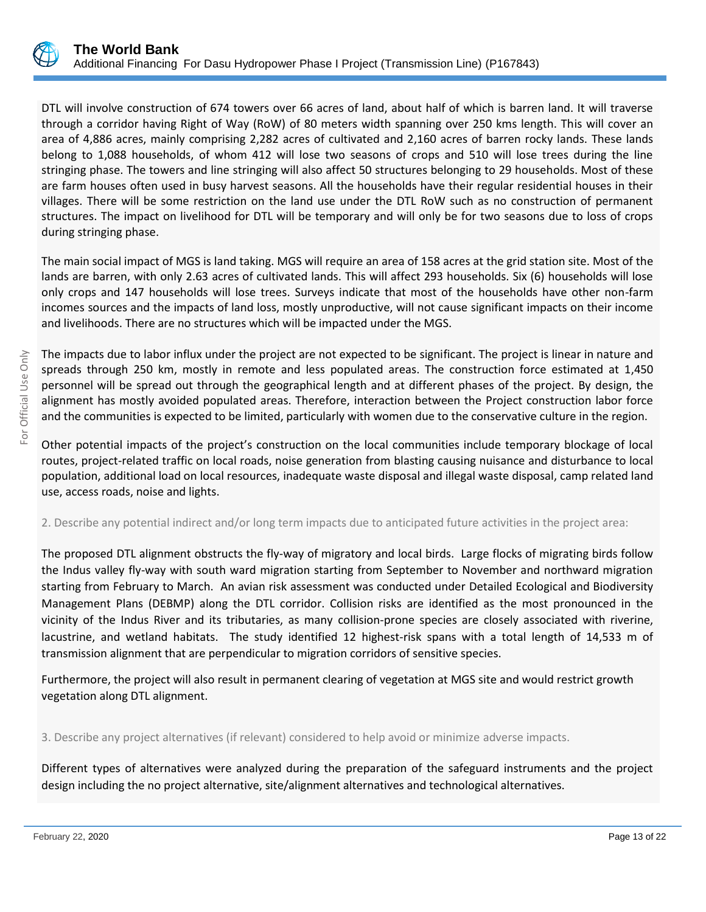

DTL will involve construction of 674 towers over 66 acres of land, about half of which is barren land. It will traverse through a corridor having Right of Way (RoW) of 80 meters width spanning over 250 kms length. This will cover an area of 4,886 acres, mainly comprising 2,282 acres of cultivated and 2,160 acres of barren rocky lands. These lands belong to 1,088 households, of whom 412 will lose two seasons of crops and 510 will lose trees during the line stringing phase. The towers and line stringing will also affect 50 structures belonging to 29 households. Most of these are farm houses often used in busy harvest seasons. All the households have their regular residential houses in their villages. There will be some restriction on the land use under the DTL RoW such as no construction of permanent structures. The impact on livelihood for DTL will be temporary and will only be for two seasons due to loss of crops during stringing phase.

The main social impact of MGS is land taking. MGS will require an area of 158 acres at the grid station site. Most of the lands are barren, with only 2.63 acres of cultivated lands. This will affect 293 households. Six (6) households will lose only crops and 147 households will lose trees. Surveys indicate that most of the households have other non-farm incomes sources and the impacts of land loss, mostly unproductive, will not cause significant impacts on their income and livelihoods. There are no structures which will be impacted under the MGS.

The impacts due to labor influx under the project are not expected to be significant. The project is linear in nature and spreads through 250 km, mostly in remote and less populated areas. The construction force estimated at 1,450 personnel will be spread out through the geographical length and at different phases of the project. By design, the alignment has mostly avoided populated areas. Therefore, interaction between the Project construction labor force and the communities is expected to be limited, particularly with women due to the conservative culture in the region.

Other potential impacts of the project's construction on the local communities include temporary blockage of local routes, project-related traffic on local roads, noise generation from blasting causing nuisance and disturbance to local population, additional load on local resources, inadequate waste disposal and illegal waste disposal, camp related land use, access roads, noise and lights.

2. Describe any potential indirect and/or long term impacts due to anticipated future activities in the project area:

The proposed DTL alignment obstructs the fly-way of migratory and local birds. Large flocks of migrating birds follow the Indus valley fly-way with south ward migration starting from September to November and northward migration starting from February to March. An avian risk assessment was conducted under Detailed Ecological and Biodiversity Management Plans (DEBMP) along the DTL corridor. Collision risks are identified as the most pronounced in the vicinity of the Indus River and its tributaries, as many collision-prone species are closely associated with riverine, lacustrine, and wetland habitats. The study identified 12 highest-risk spans with a total length of 14,533 m of transmission alignment that are perpendicular to migration corridors of sensitive species.

Furthermore, the project will also result in permanent clearing of vegetation at MGS site and would restrict growth vegetation along DTL alignment.

3. Describe any project alternatives (if relevant) considered to help avoid or minimize adverse impacts.

Different types of alternatives were analyzed during the preparation of the safeguard instruments and the project design including the no project alternative, site/alignment alternatives and technological alternatives.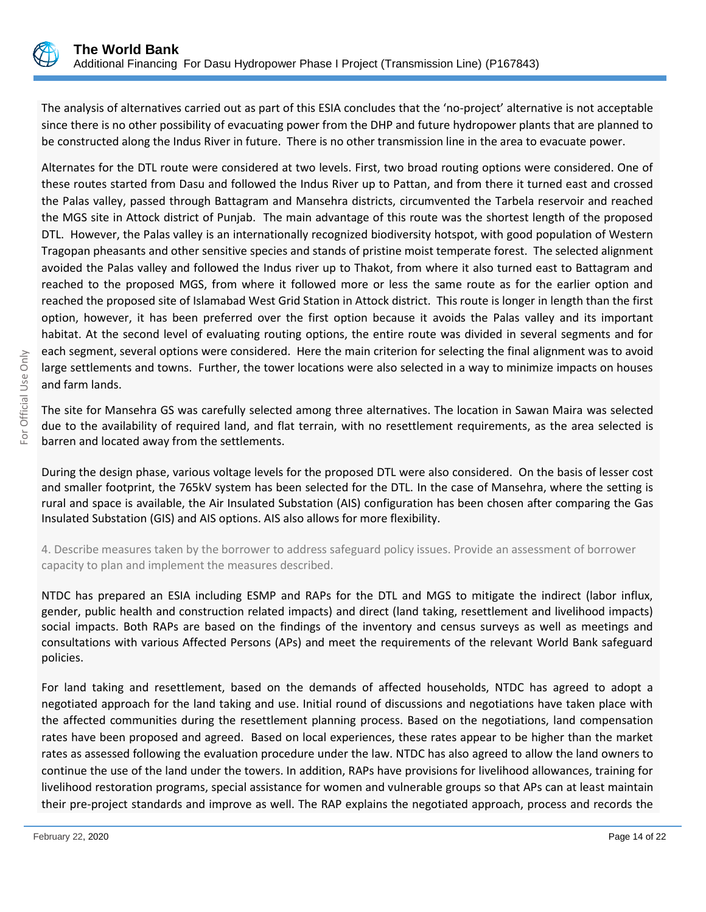

The analysis of alternatives carried out as part of this ESIA concludes that the 'no-project' alternative is not acceptable since there is no other possibility of evacuating power from the DHP and future hydropower plants that are planned to be constructed along the Indus River in future. There is no other transmission line in the area to evacuate power.

Alternates for the DTL route were considered at two levels. First, two broad routing options were considered. One of these routes started from Dasu and followed the Indus River up to Pattan, and from there it turned east and crossed the Palas valley, passed through Battagram and Mansehra districts, circumvented the Tarbela reservoir and reached the MGS site in Attock district of Punjab. The main advantage of this route was the shortest length of the proposed DTL. However, the Palas valley is an internationally recognized biodiversity hotspot, with good population of Western Tragopan pheasants and other sensitive species and stands of pristine moist temperate forest. The selected alignment avoided the Palas valley and followed the Indus river up to Thakot, from where it also turned east to Battagram and reached to the proposed MGS, from where it followed more or less the same route as for the earlier option and reached the proposed site of Islamabad West Grid Station in Attock district. This route is longer in length than the first option, however, it has been preferred over the first option because it avoids the Palas valley and its important habitat. At the second level of evaluating routing options, the entire route was divided in several segments and for each segment, several options were considered. Here the main criterion for selecting the final alignment was to avoid large settlements and towns. Further, the tower locations were also selected in a way to minimize impacts on houses and farm lands.

The site for Mansehra GS was carefully selected among three alternatives. The location in Sawan Maira was selected due to the availability of required land, and flat terrain, with no resettlement requirements, as the area selected is barren and located away from the settlements.

During the design phase, various voltage levels for the proposed DTL were also considered. On the basis of lesser cost and smaller footprint, the 765kV system has been selected for the DTL. In the case of Mansehra, where the setting is rural and space is available, the Air Insulated Substation (AIS) configuration has been chosen after comparing the Gas Insulated Substation (GIS) and AIS options. AIS also allows for more flexibility.

4. Describe measures taken by the borrower to address safeguard policy issues. Provide an assessment of borrower capacity to plan and implement the measures described.

NTDC has prepared an ESIA including ESMP and RAPs for the DTL and MGS to mitigate the indirect (labor influx, gender, public health and construction related impacts) and direct (land taking, resettlement and livelihood impacts) social impacts. Both RAPs are based on the findings of the inventory and census surveys as well as meetings and consultations with various Affected Persons (APs) and meet the requirements of the relevant World Bank safeguard policies.

For land taking and resettlement, based on the demands of affected households, NTDC has agreed to adopt a negotiated approach for the land taking and use. Initial round of discussions and negotiations have taken place with the affected communities during the resettlement planning process. Based on the negotiations, land compensation rates have been proposed and agreed. Based on local experiences, these rates appear to be higher than the market rates as assessed following the evaluation procedure under the law. NTDC has also agreed to allow the land owners to continue the use of the land under the towers. In addition, RAPs have provisions for livelihood allowances, training for livelihood restoration programs, special assistance for women and vulnerable groups so that APs can at least maintain their pre-project standards and improve as well. The RAP explains the negotiated approach, process and records the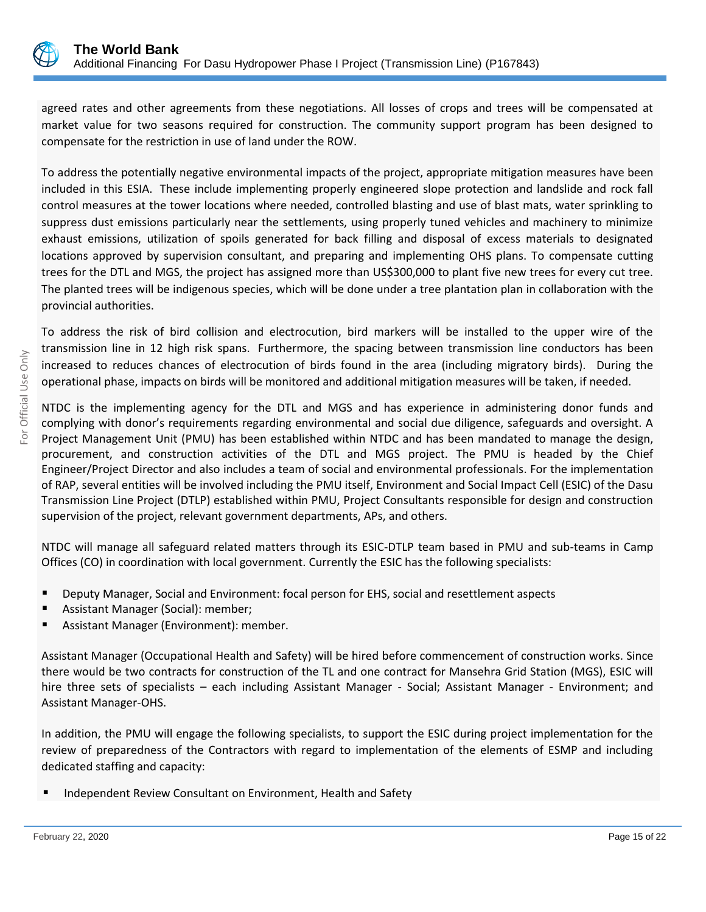

agreed rates and other agreements from these negotiations. All losses of crops and trees will be compensated at market value for two seasons required for construction. The community support program has been designed to compensate for the restriction in use of land under the ROW.

To address the potentially negative environmental impacts of the project, appropriate mitigation measures have been included in this ESIA. These include implementing properly engineered slope protection and landslide and rock fall control measures at the tower locations where needed, controlled blasting and use of blast mats, water sprinkling to suppress dust emissions particularly near the settlements, using properly tuned vehicles and machinery to minimize exhaust emissions, utilization of spoils generated for back filling and disposal of excess materials to designated locations approved by supervision consultant, and preparing and implementing OHS plans. To compensate cutting trees for the DTL and MGS, the project has assigned more than US\$300,000 to plant five new trees for every cut tree. The planted trees will be indigenous species, which will be done under a tree plantation plan in collaboration with the provincial authorities.

To address the risk of bird collision and electrocution, bird markers will be installed to the upper wire of the transmission line in 12 high risk spans. Furthermore, the spacing between transmission line conductors has been increased to reduces chances of electrocution of birds found in the area (including migratory birds). During the operational phase, impacts on birds will be monitored and additional mitigation measures will be taken, if needed.

NTDC is the implementing agency for the DTL and MGS and has experience in administering donor funds and complying with donor's requirements regarding environmental and social due diligence, safeguards and oversight. A Project Management Unit (PMU) has been established within NTDC and has been mandated to manage the design, procurement, and construction activities of the DTL and MGS project. The PMU is headed by the Chief Engineer/Project Director and also includes a team of social and environmental professionals. For the implementation of RAP, several entities will be involved including the PMU itself, Environment and Social Impact Cell (ESIC) of the Dasu Transmission Line Project (DTLP) established within PMU, Project Consultants responsible for design and construction supervision of the project, relevant government departments, APs, and others.

NTDC will manage all safeguard related matters through its ESIC-DTLP team based in PMU and sub-teams in Camp Offices (CO) in coordination with local government. Currently the ESIC has the following specialists:

- Deputy Manager, Social and Environment: focal person for EHS, social and resettlement aspects
- Assistant Manager (Social): member;
- Assistant Manager (Environment): member.

Assistant Manager (Occupational Health and Safety) will be hired before commencement of construction works. Since there would be two contracts for construction of the TL and one contract for Mansehra Grid Station (MGS), ESIC will hire three sets of specialists – each including Assistant Manager - Social; Assistant Manager - Environment; and Assistant Manager-OHS.

In addition, the PMU will engage the following specialists, to support the ESIC during project implementation for the review of preparedness of the Contractors with regard to implementation of the elements of ESMP and including dedicated staffing and capacity:

Independent Review Consultant on Environment, Health and Safety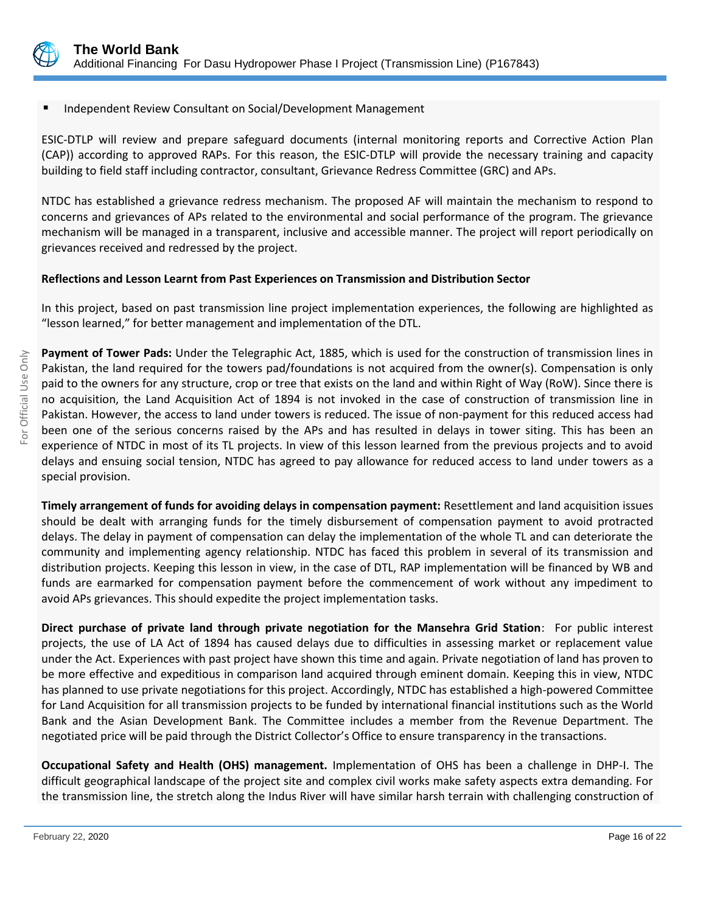

# Independent Review Consultant on Social/Development Management

ESIC-DTLP will review and prepare safeguard documents (internal monitoring reports and Corrective Action Plan (CAP)) according to approved RAPs. For this reason, the ESIC-DTLP will provide the necessary training and capacity building to field staff including contractor, consultant, Grievance Redress Committee (GRC) and APs.

NTDC has established a grievance redress mechanism. The proposed AF will maintain the mechanism to respond to concerns and grievances of APs related to the environmental and social performance of the program. The grievance mechanism will be managed in a transparent, inclusive and accessible manner. The project will report periodically on grievances received and redressed by the project.

# **Reflections and Lesson Learnt from Past Experiences on Transmission and Distribution Sector**

In this project, based on past transmission line project implementation experiences, the following are highlighted as "lesson learned," for better management and implementation of the DTL.

**Payment of Tower Pads:** Under the Telegraphic Act, 1885, which is used for the construction of transmission lines in Pakistan, the land required for the towers pad/foundations is not acquired from the owner(s). Compensation is only paid to the owners for any structure, crop or tree that exists on the land and within Right of Way (RoW). Since there is no acquisition, the Land Acquisition Act of 1894 is not invoked in the case of construction of transmission line in Pakistan. However, the access to land under towers is reduced. The issue of non-payment for this reduced access had been one of the serious concerns raised by the APs and has resulted in delays in tower siting. This has been an experience of NTDC in most of its TL projects. In view of this lesson learned from the previous projects and to avoid delays and ensuing social tension, NTDC has agreed to pay allowance for reduced access to land under towers as a special provision.

**Timely arrangement of funds for avoiding delays in compensation payment:** Resettlement and land acquisition issues should be dealt with arranging funds for the timely disbursement of compensation payment to avoid protracted delays. The delay in payment of compensation can delay the implementation of the whole TL and can deteriorate the community and implementing agency relationship. NTDC has faced this problem in several of its transmission and distribution projects. Keeping this lesson in view, in the case of DTL, RAP implementation will be financed by WB and funds are earmarked for compensation payment before the commencement of work without any impediment to avoid APs grievances. This should expedite the project implementation tasks.

**Direct purchase of private land through private negotiation for the Mansehra Grid Station**: For public interest projects, the use of LA Act of 1894 has caused delays due to difficulties in assessing market or replacement value under the Act. Experiences with past project have shown this time and again. Private negotiation of land has proven to be more effective and expeditious in comparison land acquired through eminent domain. Keeping this in view, NTDC has planned to use private negotiations for this project. Accordingly, NTDC has established a high-powered Committee for Land Acquisition for all transmission projects to be funded by international financial institutions such as the World Bank and the Asian Development Bank. The Committee includes a member from the Revenue Department. The negotiated price will be paid through the District Collector's Office to ensure transparency in the transactions.

**Occupational Safety and Health (OHS) management.** Implementation of OHS has been a challenge in DHP-I. The difficult geographical landscape of the project site and complex civil works make safety aspects extra demanding. For the transmission line, the stretch along the Indus River will have similar harsh terrain with challenging construction of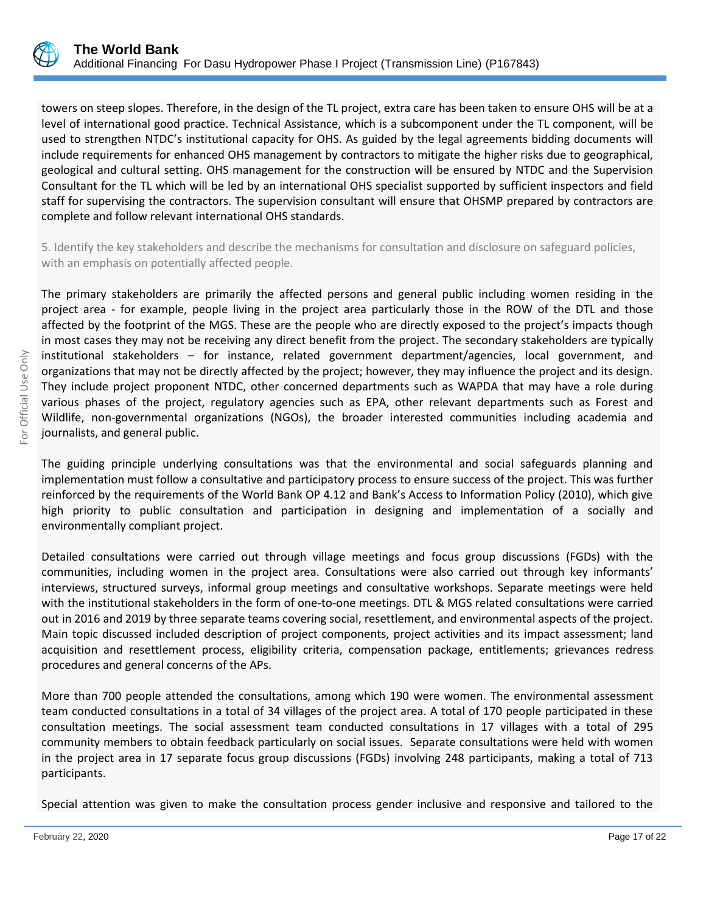

towers on steep slopes. Therefore, in the design of the TL project, extra care has been taken to ensure OHS will be at a level of international good practice. Technical Assistance, which is a subcomponent under the TL component, will be used to strengthen NTDC's institutional capacity for OHS. As guided by the legal agreements bidding documents will include requirements for enhanced OHS management by contractors to mitigate the higher risks due to geographical, geological and cultural setting. OHS management for the construction will be ensured by NTDC and the Supervision Consultant for the TL which will be led by an international OHS specialist supported by sufficient inspectors and field staff for supervising the contractors. The supervision consultant will ensure that OHSMP prepared by contractors are complete and follow relevant international OHS standards.

5. Identify the key stakeholders and describe the mechanisms for consultation and disclosure on safeguard policies, with an emphasis on potentially affected people.

The primary stakeholders are primarily the affected persons and general public including women residing in the project area - for example, people living in the project area particularly those in the ROW of the DTL and those affected by the footprint of the MGS. These are the people who are directly exposed to the project's impacts though in most cases they may not be receiving any direct benefit from the project. The secondary stakeholders are typically institutional stakeholders – for instance, related government department/agencies, local government, and organizations that may not be directly affected by the project; however, they may influence the project and its design. They include project proponent NTDC, other concerned departments such as WAPDA that may have a role during various phases of the project, regulatory agencies such as EPA, other relevant departments such as Forest and Wildlife, non-governmental organizations (NGOs), the broader interested communities including academia and journalists, and general public.

The guiding principle underlying consultations was that the environmental and social safeguards planning and implementation must follow a consultative and participatory process to ensure success of the project. This was further reinforced by the requirements of the World Bank OP 4.12 and Bank's Access to Information Policy (2010), which give high priority to public consultation and participation in designing and implementation of a socially and environmentally compliant project.

Detailed consultations were carried out through village meetings and focus group discussions (FGDs) with the communities, including women in the project area. Consultations were also carried out through key informants' interviews, structured surveys, informal group meetings and consultative workshops. Separate meetings were held with the institutional stakeholders in the form of one-to-one meetings. DTL & MGS related consultations were carried out in 2016 and 2019 by three separate teams covering social, resettlement, and environmental aspects of the project. Main topic discussed included description of project components, project activities and its impact assessment; land acquisition and resettlement process, eligibility criteria, compensation package, entitlements; grievances redress procedures and general concerns of the APs.

More than 700 people attended the consultations, among which 190 were women. The environmental assessment team conducted consultations in a total of 34 villages of the project area. A total of 170 people participated in these consultation meetings. The social assessment team conducted consultations in 17 villages with a total of 295 community members to obtain feedback particularly on social issues. Separate consultations were held with women in the project area in 17 separate focus group discussions (FGDs) involving 248 participants, making a total of 713 participants.

Special attention was given to make the consultation process gender inclusive and responsive and tailored to the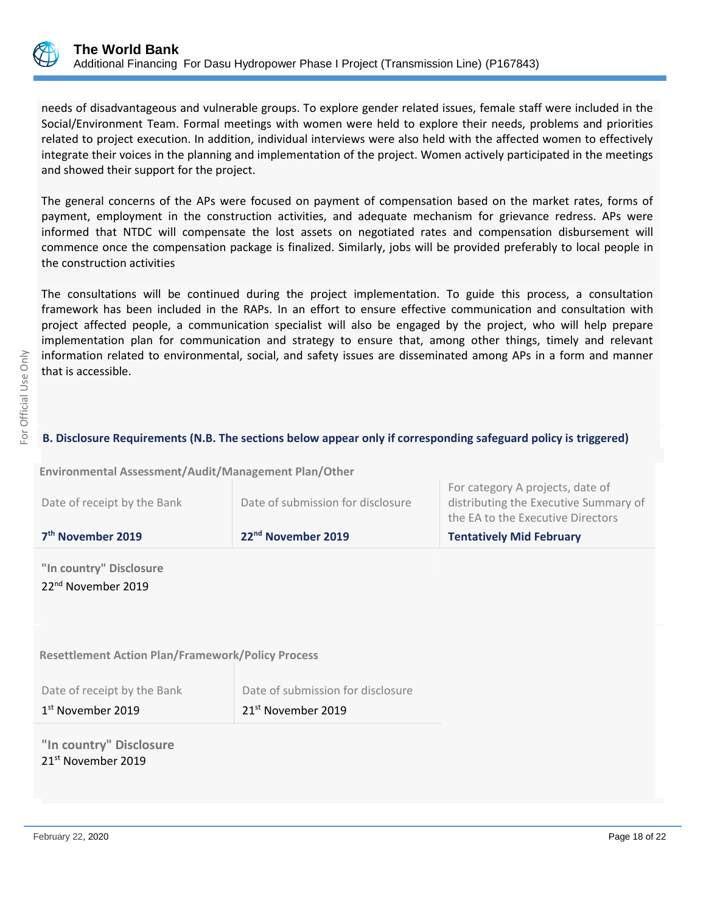

needs of disadvantageous and vulnerable groups. To explore gender related issues, female staff were included in the Social/Environment Team. Formal meetings with women were held to explore their needs, problems and priorities related to project execution. In addition, individual interviews were also held with the affected women to effectively integrate their voices in the planning and implementation of the project. Women actively participated in the meetings and showed their support for the project.

The general concerns of the APs were focused on payment of compensation based on the market rates, forms of payment, employment in the construction activities, and adequate mechanism for grievance redress. APs were informed that NTDC will compensate the lost assets on negotiated rates and compensation disbursement will commence once the compensation package is finalized. Similarly, jobs will be provided preferably to local people in the construction activities

The consultations will be continued during the project implementation. To guide this process, a consultation framework has been included in the RAPs. In an effort to ensure effective communication and consultation with project affected people, a communication specialist will also be engaged by the project, who will help prepare implementation plan for communication and strategy to ensure that, among other things, timely and relevant information related to environmental, social, and safety issues are disseminated among APs in a form and manner that is accessible.

# **B. Disclosure Requirements (N.B. The sections below appear only if corresponding safeguard policy is triggered)**

**Environmental Assessment/Audit/Management Plan/Other** 

| 7 <sup>th</sup> November 2019 | 22 <sup>nd</sup> November 2019    | <b>Tentatively Mid February</b>                                                                                |
|-------------------------------|-----------------------------------|----------------------------------------------------------------------------------------------------------------|
| Date of receipt by the Bank   | Date of submission for disclosure | For category A projects, date of<br>distributing the Executive Summary of<br>the EA to the Executive Directors |

**"In country" Disclosure** 22nd November 2019

**Resettlement Action Plan/Framework/Policy Process**

| Date of receipt by the Bank | Date of submission for disclosure |
|-----------------------------|-----------------------------------|
| $1st$ November 2019         | 21 <sup>st</sup> November 2019    |

**"In country" Disclosure** 21st November 2019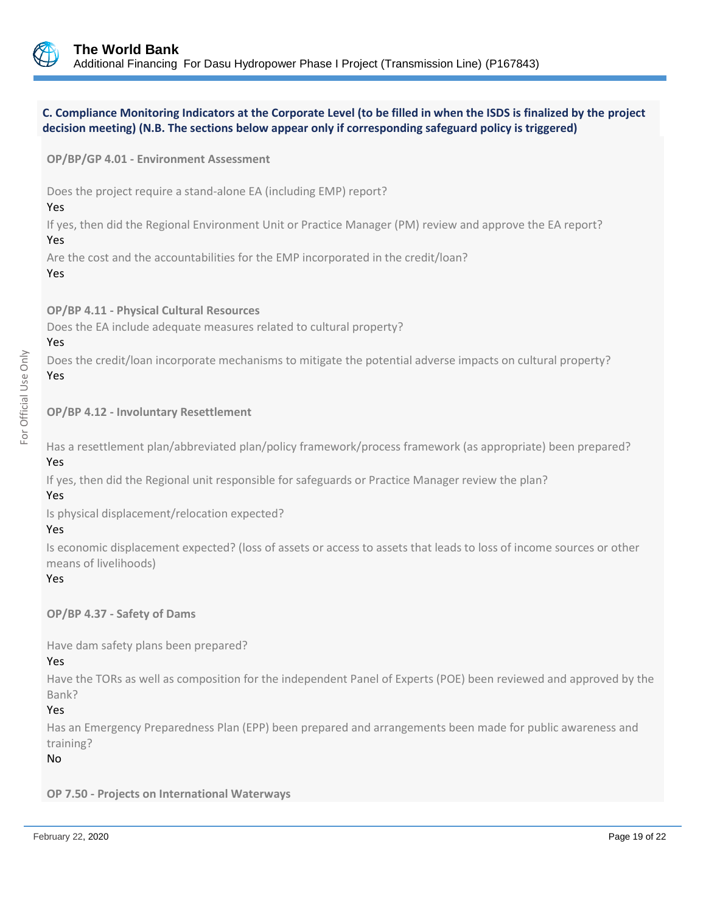

# **C. Compliance Monitoring Indicators at the Corporate Level (to be filled in when the ISDS is finalized by the project decision meeting) (N.B. The sections below appear only if corresponding safeguard policy is triggered)**

**OP/BP/GP 4.01 - Environment Assessment**

Does the project require a stand-alone EA (including EMP) report?

#### Yes

If yes, then did the Regional Environment Unit or Practice Manager (PM) review and approve the EA report? Yes

Are the cost and the accountabilities for the EMP incorporated in the credit/loan?

# Yes

**OP/BP 4.11 - Physical Cultural Resources**

Does the EA include adequate measures related to cultural property?

#### Yes

Does the credit/loan incorporate mechanisms to mitigate the potential adverse impacts on cultural property? Yes

**OP/BP 4.12 - Involuntary Resettlement**

Has a resettlement plan/abbreviated plan/policy framework/process framework (as appropriate) been prepared? Yes

If yes, then did the Regional unit responsible for safeguards or Practice Manager review the plan?

#### Yes

Is physical displacement/relocation expected?

#### Yes

Is economic displacement expected? (loss of assets or access to assets that leads to loss of income sources or other means of livelihoods)

#### Yes

**OP/BP 4.37 - Safety of Dams**

Have dam safety plans been prepared?

#### Yes

Have the TORs as well as composition for the independent Panel of Experts (POE) been reviewed and approved by the Bank?

### Yes

Has an Emergency Preparedness Plan (EPP) been prepared and arrangements been made for public awareness and training?

#### No

**OP 7.50 - Projects on International Waterways**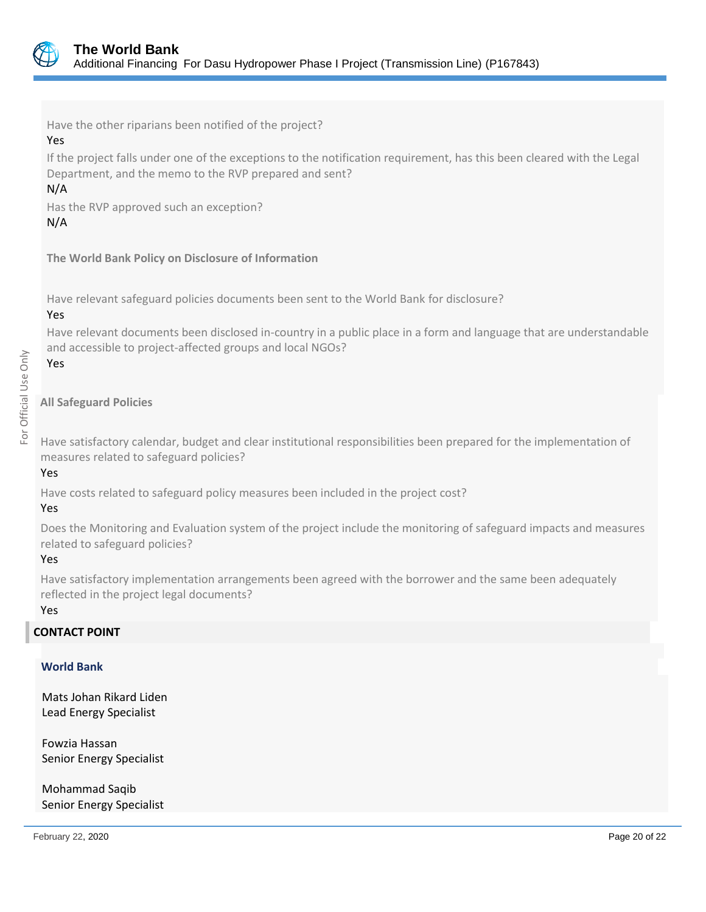

Have the other riparians been notified of the project?

# Yes

If the project falls under one of the exceptions to the notification requirement, has this been cleared with the Legal Department, and the memo to the RVP prepared and sent?

# N/A

Has the RVP approved such an exception? N/A

**The World Bank Policy on Disclosure of Information**

Have relevant safeguard policies documents been sent to the World Bank for disclosure?

# Yes

Have relevant documents been disclosed in-country in a public place in a form and language that are understandable and accessible to project-affected groups and local NGOs?

# Yes

# **All Safeguard Policies**

Have satisfactory calendar, budget and clear institutional responsibilities been prepared for the implementation of measures related to safeguard policies?

#### Yes

For Official Use Only

For Official Use Only

Have costs related to safeguard policy measures been included in the project cost?

#### Yes

Does the Monitoring and Evaluation system of the project include the monitoring of safeguard impacts and measures related to safeguard policies?

#### Yes

Have satisfactory implementation arrangements been agreed with the borrower and the same been adequately reflected in the project legal documents?

#### Yes

# **CONTACT POINT**

#### **World Bank**

Mats Johan Rikard Liden Lead Energy Specialist

Fowzia Hassan Senior Energy Specialist

Mohammad Saqib Senior Energy Specialist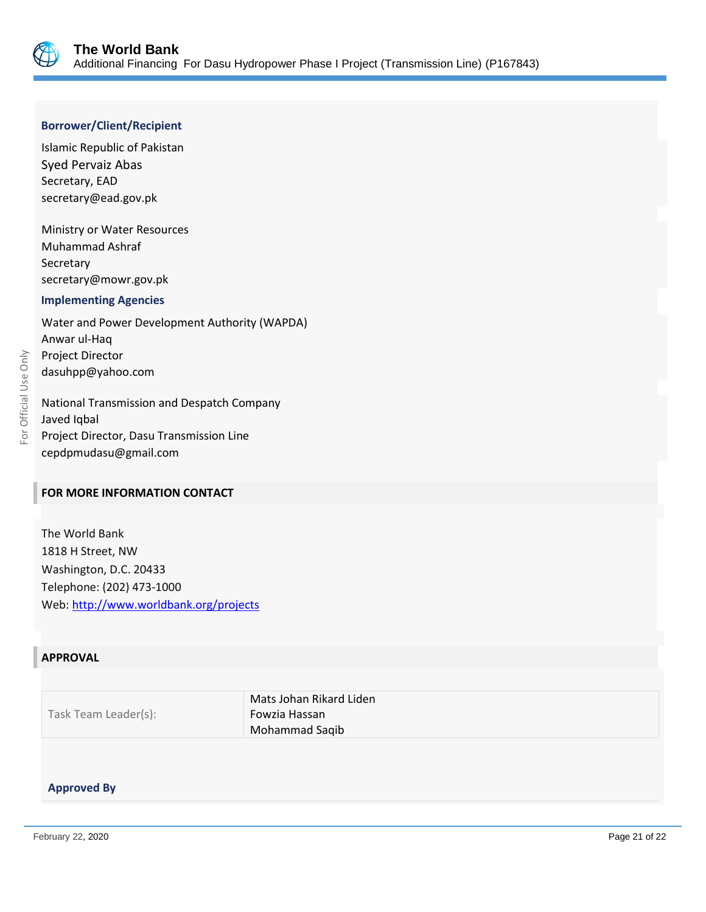

#### **Borrower/Client/Recipient**

Islamic Republic of Pakistan Syed Pervaiz Abas Secretary, EAD secretary@ead.gov.pk

Ministry or Water Resources Muhammad Ashraf Secretary secretary@mowr.gov.pk

#### **Implementing Agencies**

Water and Power Development Authority (WAPDA) Anwar ul-Haq Project Director dasuhpp@yahoo.com

National Transmission and Despatch Company Javed Iqbal Project Director, Dasu Transmission Line cepdpmudasu@gmail.com

### **FOR MORE INFORMATION CONTACT**

The World Bank 1818 H Street, NW Washington, D.C. 20433 Telephone: (202) 473-1000 Web[: http://www.worldbank.org/projects](http://www.worldbank.org/projects)

# **APPROVAL**

Task Team Leader(s):

Mats Johan Rikard Liden Fowzia Hassan Mohammad Saqib

#### **Approved By**

February 22, 2020 **Page 21 of 22**